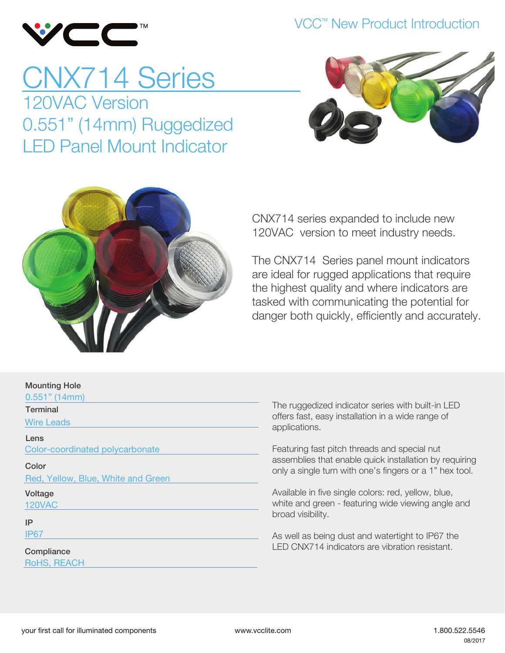

### VCC<sup>™</sup> New Product Introduction

# CNX714 Series 120VAC Version 0.551" (14mm) Ruggedized LED Panel Mount Indicator





CNX714 series expanded to include new 120VAC version to meet industry needs.

The CNX714 Series panel mount indicators are ideal for rugged applications that require the highest quality and where indicators are tasked with communicating the potential for danger both quickly, efficiently and accurately.

| <b>IVIUUIILIII</b> IY LIUI <del>U</del> |
|-----------------------------------------|
| $0.551"$ (14mm)                         |
| Terminal                                |
| <b>Wire Leads</b>                       |
| Lens                                    |
| Color-coordinated polycarbonate         |
| Color                                   |
| Red, Yellow, Blue, White and Green      |
| Voltage                                 |
| <b>120VAC</b>                           |
| IP                                      |
| <b>IP67</b>                             |
|                                         |
| Compliance                              |

The ruggedized indicator series with built-in LED offers fast, easy installation in a wide range of applications.

Featuring fast pitch threads and special nut assemblies that enable quick installation by requiring only a single turn with one's fingers or a 1" hex tool.

Available in five single colors: red, yellow, blue, white and green - featuring wide viewing angle and broad visibility.

As well as being dust and watertight to IP67 the LED CNX714 indicators are vibration resistant.

Mounting Hole

RoHS, REACH